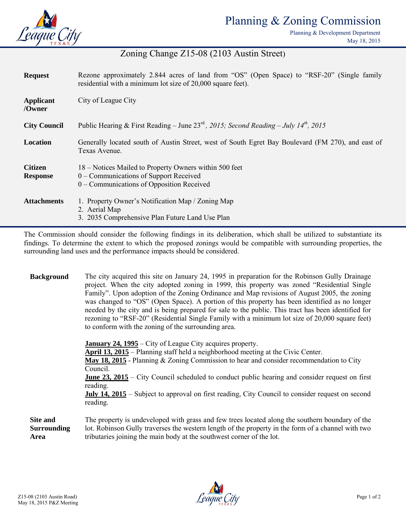

# Planning & Zoning Commission

Planning & Development Department May 18, 2015

## Zoning Change Z15-08 (2103 Austin Street)

| <b>Request</b>                    | Rezone approximately 2.844 acres of land from "OS" (Open Space) to "RSF-20" (Single family<br>residential with a minimum lot size of 20,000 square feet). |  |
|-----------------------------------|-----------------------------------------------------------------------------------------------------------------------------------------------------------|--|
| Applicant<br>/Owner               | City of League City                                                                                                                                       |  |
| <b>City Council</b>               | Public Hearing & First Reading – June 23 <sup>rd</sup> , 2015; Second Reading – July 14 <sup>th</sup> , 2015                                              |  |
| Location                          | Generally located south of Austin Street, west of South Egret Bay Boulevard (FM 270), and east of<br>Texas Avenue.                                        |  |
| <b>Citizen</b><br><b>Response</b> | 18 – Notices Mailed to Property Owners within 500 feet<br>0 – Communications of Support Received<br>0 – Communications of Opposition Received             |  |
| <b>Attachments</b>                | 1. Property Owner's Notification Map / Zoning Map<br>2. Aerial Map<br>3. 2035 Comprehensive Plan Future Land Use Plan                                     |  |

The Commission should consider the following findings in its deliberation, which shall be utilized to substantiate its findings. To determine the extent to which the proposed zonings would be compatible with surrounding properties, the surrounding land uses and the performance impacts should be considered.

**Background** The city acquired this site on January 24, 1995 in preparation for the Robinson Gully Drainage project. When the city adopted zoning in 1999, this property was zoned "Residential Single Family". Upon adoption of the Zoning Ordinance and Map revisions of August 2005, the zoning was changed to "OS" (Open Space). A portion of this property has been identified as no longer needed by the city and is being prepared for sale to the public. This tract has been identified for rezoning to "RSF-20" (Residential Single Family with a minimum lot size of 20,000 square feet) to conform with the zoning of the surrounding area.

**January 24, 1995** – City of League City acquires property. **April 13, 2015** – Planning staff held a neighborhood meeting at the Civic Center. **May 18, 2015** - Planning & Zoning Commission to hear and consider recommendation to City Council. **June 23, 2015** – City Council scheduled to conduct public hearing and consider request on first reading. **July 14, 2015** – Subject to approval on first reading, City Council to consider request on second reading. **Site and Surrounding**  The property is undeveloped with grass and few trees located along the southern boundary of the lot. Robinson Gully traverses the western length of the property in the form of a channel with two

tributaries joining the main body at the southwest corner of the lot.

**Area**

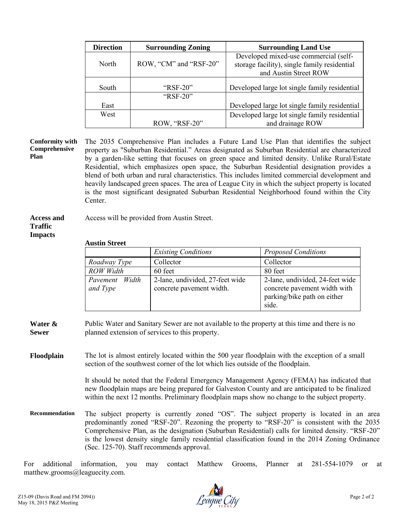| <b>Direction</b> | <b>Surrounding Zoning</b> | <b>Surrounding Land Use</b>                                                           |
|------------------|---------------------------|---------------------------------------------------------------------------------------|
| North            | ROW, "CM" and "RSF-20"    | Developed mixed-use commercial (self-<br>storage facility), single family residential |
|                  |                           | and Austin Street ROW                                                                 |
| South            | " $RSF-20$ "              | Developed large lot single family residential                                         |
|                  | " $RSF-20$ "              |                                                                                       |
| East             |                           | Developed large lot single family residential                                         |
| West             |                           | Developed large lot single family residential                                         |
|                  | ROW, "RSF-20"             | and drainage ROW                                                                      |

#### **Conformity with Comprehensive Plan**

The 2035 Comprehensive Plan includes a Future Land Use Plan that identifies the subject property as "Suburban Residential." Areas designated as Suburban Residential are characterized by a garden-like setting that focuses on green space and limited density. Unlike Rural/Estate Residential, which emphasizes open space, the Suburban Residential designation provides a blend of both urban and rural characteristics. This includes limited commercial development and heavily landscaped green spaces. The area of League City in which the subject property is located is the most significant designated Suburban Residential Neighborhood found within the City Center.

#### **Access and Traffic Impacts** Access will be provided from Austin Street.

### **Austin Street**

|                            | <b>Existing Conditions</b>                                  | <b>Proposed Conditions</b>                                                                              |
|----------------------------|-------------------------------------------------------------|---------------------------------------------------------------------------------------------------------|
| Roadway Type               | Collector                                                   | Collector                                                                                               |
| <b>ROW</b> Width           | 60 feet                                                     | 80 feet                                                                                                 |
| Pavement Width<br>and Type | 2-lane, undivided, 27-feet wide<br>concrete pavement width. | 2-lane, undivided, 24-feet wide<br>concrete pavement width with<br>parking/bike path on either<br>side. |

**Water & Sewer** Public Water and Sanitary Sewer are not available to the property at this time and there is no planned extension of services to this property.

**Floodplain** The lot is almost entirely located within the 500 year floodplain with the exception of a small section of the southwest corner of the lot which lies outside of the floodplain.

> It should be noted that the Federal Emergency Management Agency (FEMA) has indicated that new floodplain maps are being prepared for Galveston County and are anticipated to be finalized within the next 12 months. Preliminary floodplain maps show no change to the subject property.

**Recommendation** The subject property is currently zoned "OS". The subject property is located in an area predominantly zoned "RSF-20". Rezoning the property to "RSF-20" is consistent with the 2035 Comprehensive Plan, as the designation (Suburban Residential) calls for limited density. "RSF-20" is the lowest density single family residential classification found in the 2014 Zoning Ordinance (Sec. 125-70). Staff recommends approval.

For additional information, you may contact Matthew Grooms, Planner at 281-554-1079 or at matthew.grooms@leaguecity.com.

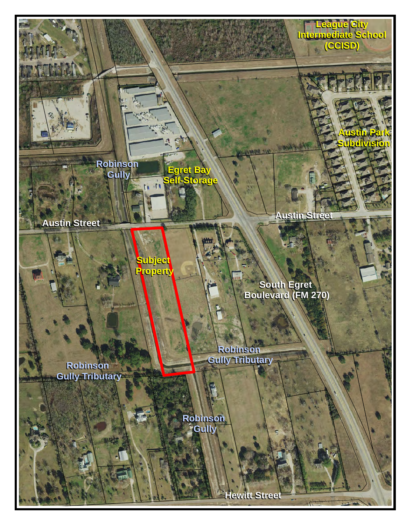